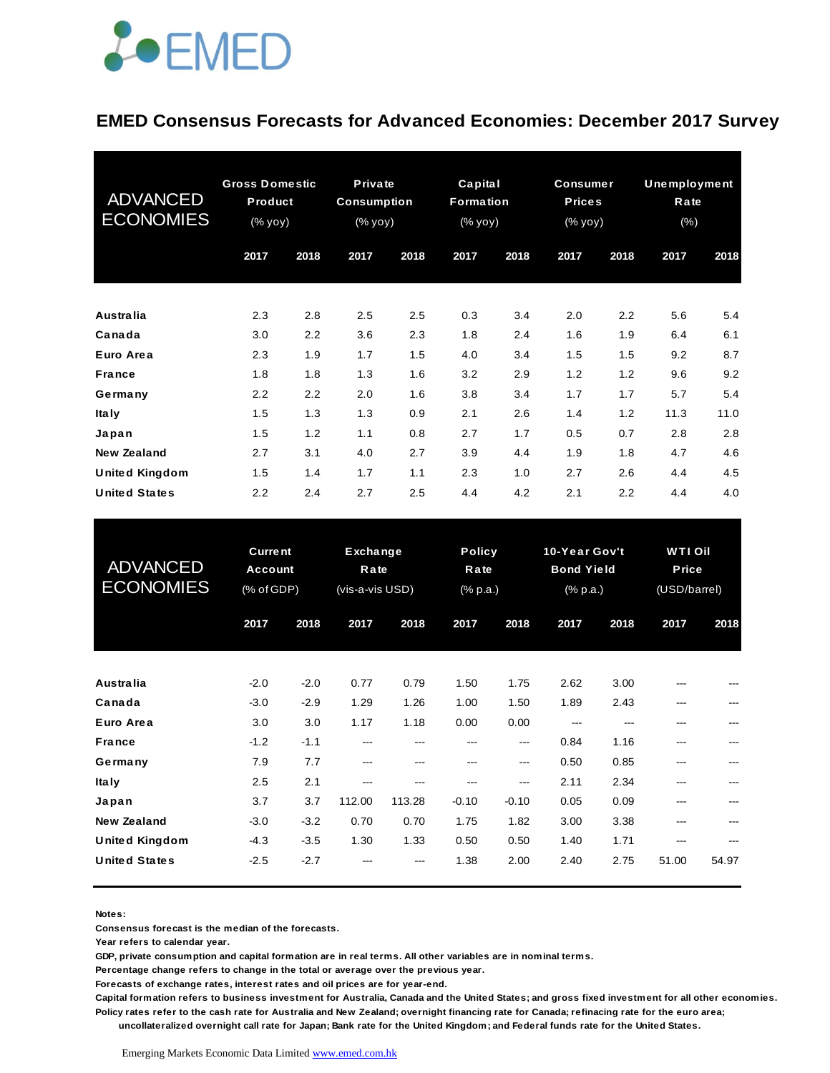

### **EMED Consensus Forecasts for Advanced Economies: December 2017 Survey**

| <b>ADVANCED</b><br><b>ECONOMIES</b> | <b>Gross Domestic</b><br>Product<br>(% yoy) |      | Private<br><b>Consumption</b><br>(% yoy) |      | Capital<br><b>Formation</b><br>(% yoy) |      | <b>Consumer</b><br><b>Prices</b><br>(% yoy) |      | <b>Unemployment</b><br>Rate<br>(% ) |      |
|-------------------------------------|---------------------------------------------|------|------------------------------------------|------|----------------------------------------|------|---------------------------------------------|------|-------------------------------------|------|
|                                     | 2017                                        | 2018 | 2017                                     | 2018 | 2017                                   | 2018 | 2017                                        | 2018 | 2017                                | 2018 |
| <b>Australia</b>                    | 2.3                                         | 2.8  | 2.5                                      | 2.5  | 0.3                                    | 3.4  | 2.0                                         | 2.2  | 5.6                                 | 5.4  |
| Canada                              | 3.0                                         | 2.2  | 3.6                                      | 2.3  | 1.8                                    | 2.4  | 1.6                                         | 1.9  | 6.4                                 | 6.1  |
| Euro Area                           | 2.3                                         | 1.9  | 1.7                                      | 1.5  | 4.0                                    | 3.4  | 1.5                                         | 1.5  | 9.2                                 | 8.7  |
| <b>France</b>                       | 1.8                                         | 1.8  | 1.3                                      | 1.6  | 3.2                                    | 2.9  | 1.2                                         | 1.2  | 9.6                                 | 9.2  |
| Germany                             | 2.2                                         | 2.2  | 2.0                                      | 1.6  | 3.8                                    | 3.4  | 1.7                                         | 1.7  | 5.7                                 | 5.4  |
| <b>Italy</b>                        | 1.5                                         | 1.3  | 1.3                                      | 0.9  | 2.1                                    | 2.6  | 1.4                                         | 1.2  | 11.3                                | 11.0 |
| Japan                               | 1.5                                         | 1.2  | 1.1                                      | 0.8  | 2.7                                    | 1.7  | 0.5                                         | 0.7  | 2.8                                 | 2.8  |
| <b>New Zealand</b>                  | 2.7                                         | 3.1  | 4.0                                      | 2.7  | 3.9                                    | 4.4  | 1.9                                         | 1.8  | 4.7                                 | 4.6  |
| <b>United Kingdom</b>               | 1.5                                         | 1.4  | 1.7                                      | 1.1  | 2.3                                    | 1.0  | 2.7                                         | 2.6  | 4.4                                 | 4.5  |
| <b>United States</b>                | 2.2                                         | 2.4  | 2.7                                      | 2.5  | 4.4                                    | 4.2  | 2.1                                         | 2.2  | 4.4                                 | 4.0  |

| <b>United States</b>                        | 2.2                                            | 2.4              | 2.7                                        | 2.5           | 4.4                               | 4.2                             | 2.1                                            | 2.2          | 4.4                                    | 4.0   |
|---------------------------------------------|------------------------------------------------|------------------|--------------------------------------------|---------------|-----------------------------------|---------------------------------|------------------------------------------------|--------------|----------------------------------------|-------|
| <b>ADVANCED</b><br><b>ECONOMIES</b>         | <b>Current</b><br><b>Account</b><br>(% of GDP) |                  | <b>Exchange</b><br>Rate<br>(vis-a-vis USD) |               | <b>Policy</b><br>Rate<br>(% p.a.) |                                 | 10-Year Gov't<br><b>Bond Yield</b><br>(% p.a.) |              | <b>WTIOil</b><br>Price<br>(USD/barrel) |       |
|                                             | 2017                                           | 2018             | 2017                                       | 2018          | 2017                              | 2018                            | 2017                                           | 2018         | 2017                                   | 2018  |
| <b>Australia</b>                            | $-2.0$                                         | $-2.0$           | 0.77                                       | 0.79          | 1.50                              | 1.75                            | 2.62                                           | 3.00         | ---                                    |       |
| Canada<br>Euro Area                         | $-3.0$<br>3.0                                  | $-2.9$<br>3.0    | 1.29<br>1.17                               | 1.26<br>1.18  | 1.00<br>0.00                      | 1.50<br>0.00                    | 1.89<br>---                                    | 2.43<br>---  | ---<br>---                             |       |
| <b>France</b><br>Germany                    | $-1.2$<br>7.9                                  | $-1.1$<br>7.7    | $---$<br>$---$                             | ---<br>$---$  | ---<br>$---$                      | $\qquad \qquad \cdots$<br>$---$ | 0.84<br>0.50                                   | 1.16<br>0.85 | ---<br>---                             | ---   |
| <b>Italy</b><br>Japan                       | 2.5<br>3.7                                     | 2.1<br>3.7       | $---$<br>112.00                            | ---<br>113.28 | ---<br>$-0.10$                    | ---<br>$-0.10$                  | 2.11<br>0.05                                   | 2.34<br>0.09 | ---<br>---                             | ---   |
| <b>New Zealand</b><br><b>United Kingdom</b> | $-3.0$<br>$-4.3$                               | $-3.2$<br>$-3.5$ | 0.70<br>1.30                               | 0.70<br>1.33  | 1.75<br>0.50                      | 1.82<br>0.50                    | 3.00<br>1.40                                   | 3.38<br>1.71 | ---<br>---                             |       |
| <b>United States</b>                        | $-2.5$                                         | $-2.7$           |                                            |               | 1.38                              | 2.00                            | 2.40                                           | 2.75         | 51.00                                  | 54.97 |

**Notes:** 

**Consensus forecast is the median of the forecasts.**

**Year refers to calendar year.**

**GDP, private consumption and capital formation are in real terms. All other variables are in nominal terms.**

**Percentage change refers to change in the total or average over the previous year.**

**Forecasts of exchange rates, interest rates and oil prices are for year-end.**

**Capital formation refers to business investment for Australia, Canada and the United States; and gross fixed investment for all other economies. Policy rates refer to the cash rate for Australia and New Zealand; overnight financing rate for Canada; refinacing rate for the euro area;** 

 **uncollateralized overnight call rate for Japan; Bank rate for the United Kingdom; and Federal funds rate for the United States.**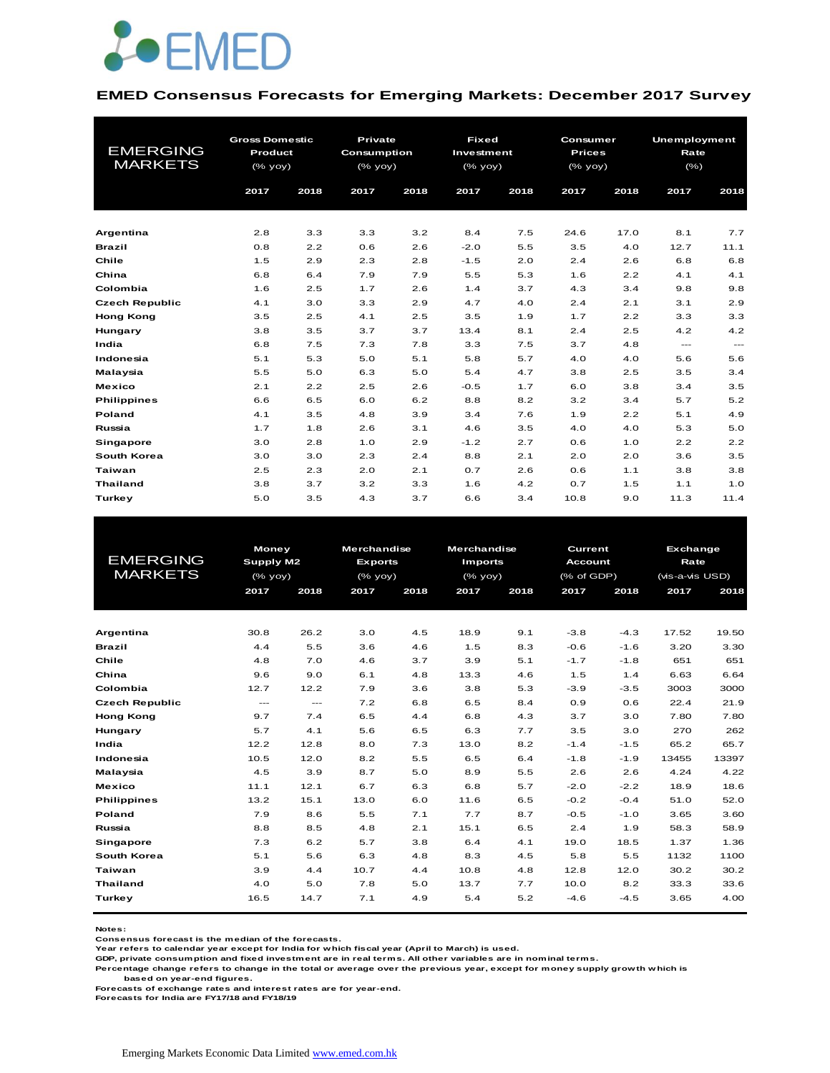

#### **EMED Consensus Forecasts for Emerging Markets: December 2017 Survey**

| <b>EMERGING</b><br><b>MARKETS</b> | <b>Gross Domestic</b><br>Product<br>(% yoy) |            |            |            |               | Private<br>Consumption<br>$(%$ (% yoy) |             | <b>Fixed</b><br>Investment<br>(% yoy) |             | Consumer<br><b>Prices</b><br>(% yoy) |  | Unemployment<br>Rate<br>(% ) |  |
|-----------------------------------|---------------------------------------------|------------|------------|------------|---------------|----------------------------------------|-------------|---------------------------------------|-------------|--------------------------------------|--|------------------------------|--|
|                                   | 2017                                        | 2018       | 2017       | 2018       | 2017          | 2018                                   | 2017        | 2018                                  | 2017        | 2018                                 |  |                              |  |
|                                   |                                             |            |            |            |               |                                        |             |                                       |             | 7.7                                  |  |                              |  |
| Argentina                         | 2.8<br>0.8                                  | 3.3        | 3.3<br>0.6 | 3.2<br>2.6 | 8.4<br>$-2.0$ | 7.5<br>5.5                             | 24.6<br>3.5 | 17.0<br>4.0                           | 8.1<br>12.7 | 11.1                                 |  |                              |  |
| <b>Brazil</b><br>Chile            | 1.5                                         | 2.2<br>2.9 | 2.3        | 2.8        | $-1.5$        | 2.0                                    | 2.4         | 2.6                                   | 6.8         | 6.8                                  |  |                              |  |
| China                             | 6.8                                         | 6.4        | 7.9        | 7.9        | 5.5           | 5.3                                    | 1.6         | 2.2                                   | 4.1         | 4.1                                  |  |                              |  |
| Colombia                          | 1.6                                         | 2.5        | 1.7        | 2.6        | 1.4           | 3.7                                    | 4.3         | 3.4                                   | 9.8         | 9.8                                  |  |                              |  |
| <b>Czech Republic</b>             | 4.1                                         | 3.0        | 3.3        | 2.9        | 4.7           | 4.0                                    | 2.4         | 2.1                                   | 3.1         | 2.9                                  |  |                              |  |
| <b>Hong Kong</b>                  | 3.5                                         | 2.5        | 4.1        | 2.5        | 3.5           | 1.9                                    | 1.7         | 2.2                                   | 3.3         | 3.3                                  |  |                              |  |
| Hungary                           | 3.8                                         | 3.5        | 3.7        | 3.7        | 13.4          | 8.1                                    | 2.4         | 2.5                                   | 4.2         | 4.2                                  |  |                              |  |
| India                             | 6.8                                         | 7.5        | 7.3        | 7.8        | 3.3           | 7.5                                    | 3.7         | 4.8                                   | $---$       | $\cdots$                             |  |                              |  |
| Indonesia                         | 5.1                                         | 5.3        | 5.0        | 5.1        | 5.8           | 5.7                                    | 4.0         | 4.0                                   | 5.6         | 5.6                                  |  |                              |  |
| Malaysia                          | 5.5                                         | 5.0        | 6.3        | 5.0        | 5.4           | 4.7                                    | 3.8         | 2.5                                   | 3.5         | 3.4                                  |  |                              |  |
| <b>Mexico</b>                     | 2.1                                         | 2.2        | 2.5        | 2.6        | $-0.5$        | 1.7                                    | 6.0         | 3.8                                   | 3.4         | 3.5                                  |  |                              |  |
| <b>Philippines</b>                | 6.6                                         | 6.5        | 6.0        | 6.2        | 8.8           | 8.2                                    | 3.2         | 3.4                                   | 5.7         | 5.2                                  |  |                              |  |
| <b>Poland</b>                     | 4.1                                         | 3.5        | 4.8        | 3.9        | 3.4           | 7.6                                    | 1.9         | 2.2                                   | 5.1         | 4.9                                  |  |                              |  |
| Russia                            | 1.7                                         | 1.8        | 2.6        | 3.1        | 4.6           | 3.5                                    | 4.0         | 4.0                                   | 5.3         | 5.0                                  |  |                              |  |
| <b>Singapore</b>                  | 3.0                                         | 2.8        | 1.0        | 2.9        | $-1.2$        | 2.7                                    | 0.6         | 1.0                                   | 2.2         | 2.2                                  |  |                              |  |
| South Korea                       | 3.0                                         | 3.0        | 2.3        | 2.4        | 8.8           | 2.1                                    | 2.0         | 2.0                                   | 3.6         | 3.5                                  |  |                              |  |
| <b>Taiwan</b>                     | 2.5                                         | 2.3        | 2.0        | 2.1        | 0.7           | 2.6                                    | 0.6         | 1.1                                   | 3.8         | 3.8                                  |  |                              |  |
| <b>Thailand</b>                   | 3.8                                         | 3.7        | 3.2        | 3.3        | 1.6           | 4.2                                    | 0.7         | 1.5                                   | 1.1         | 1.0                                  |  |                              |  |
| Turkey                            | 5.0                                         | 3.5        | 4.3        | 3.7        | 6.6           | 3.4                                    | 10.8        | 9.0                                   | 11.3        | 11.4                                 |  |                              |  |

|                       |           | <b>Money</b> |                | <b>Merchandise</b> | <b>Merchandise</b> |      | Current        |        | <b>Exchange</b> |       |
|-----------------------|-----------|--------------|----------------|--------------------|--------------------|------|----------------|--------|-----------------|-------|
| <b>EMERGING</b>       | Supply M2 |              | <b>Exports</b> |                    | <b>Imports</b>     |      | <b>Account</b> |        | Rate            |       |
| <b>MARKETS</b>        | $(%$ yoy) |              | (% yoy)        |                    | (% yoy)            |      | (% of GDP)     |        | (vis-a-vis USD) |       |
|                       | 2017      | 2018         | 2017           | 2018               | 2017               | 2018 | 2017           | 2018   | 2017            | 2018  |
|                       |           |              |                |                    |                    |      |                |        |                 |       |
|                       |           |              |                |                    |                    |      |                |        |                 |       |
| Argentina             | 30.8      | 26.2         | 3.0            | 4.5                | 18.9               | 9.1  | $-3.8$         | $-4.3$ | 17.52           | 19.50 |
| <b>Brazil</b>         | 4.4       | 5.5          | 3.6            | 4.6                | 1.5                | 8.3  | $-0.6$         | $-1.6$ | 3.20            | 3.30  |
| Chile                 | 4.8       | 7.0          | 4.6            | 3.7                | 3.9                | 5.1  | $-1.7$         | $-1.8$ | 651             | 651   |
| China                 | 9.6       | 9.0          | 6.1            | 4.8                | 13.3               | 4.6  | 1.5            | 1.4    | 6.63            | 6.64  |
| Colombia              | 12.7      | 12.2         | 7.9            | 3.6                | 3.8                | 5.3  | $-3.9$         | $-3.5$ | 3003            | 3000  |
| <b>Czech Republic</b> | $---$     | $---$        | 7.2            | 6.8                | 6.5                | 8.4  | 0.9            | 0.6    | 22.4            | 21.9  |
| <b>Hong Kong</b>      | 9.7       | 7.4          | 6.5            | 4.4                | 6.8                | 4.3  | 3.7            | 3.0    | 7.80            | 7.80  |
| Hungary               | 5.7       | 4.1          | 5.6            | 6.5                | 6.3                | 7.7  | 3.5            | 3.0    | 270             | 262   |
| India                 | 12.2      | 12.8         | 8.0            | 7.3                | 13.0               | 8.2  | $-1.4$         | $-1.5$ | 65.2            | 65.7  |
| Indonesia             | 10.5      | 12.0         | 8.2            | 5.5                | 6.5                | 6.4  | $-1.8$         | $-1.9$ | 13455           | 13397 |
| Malaysia              | 4.5       | 3.9          | 8.7            | 5.0                | 8.9                | 5.5  | 2.6            | 2.6    | 4.24            | 4.22  |
| <b>Mexico</b>         | 11.1      | 12.1         | 6.7            | 6.3                | 6.8                | 5.7  | $-2.0$         | $-2.2$ | 18.9            | 18.6  |
| <b>Philippines</b>    | 13.2      | 15.1         | 13.0           | 6.0                | 11.6               | 6.5  | $-0.2$         | $-0.4$ | 51.0            | 52.0  |
| Poland                | 7.9       | 8.6          | 5.5            | 7.1                | 7.7                | 8.7  | $-0.5$         | $-1.0$ | 3.65            | 3.60  |
| Russia                | 8.8       | 8.5          | 4.8            | 2.1                | 15.1               | 6.5  | 2.4            | 1.9    | 58.3            | 58.9  |
| Singapore             | 7.3       | 6.2          | 5.7            | 3.8                | 6.4                | 4.1  | 19.0           | 18.5   | 1.37            | 1.36  |
| South Korea           | 5.1       | 5.6          | 6.3            | 4.8                | 8.3                | 4.5  | 5.8            | 5.5    | 1132            | 1100  |
| Taiwan                | 3.9       | 4.4          | 10.7           | 4.4                | 10.8               | 4.8  | 12.8           | 12.0   | 30.2            | 30.2  |
| <b>Thailand</b>       | 4.0       | 5.0          | 7.8            | 5.0                | 13.7               | 7.7  | 10.0           | 8.2    | 33.3            | 33.6  |
| Turkey                | 16.5      | 14.7         | 7.1            | 4.9                | 5.4                | 5.2  | $-4.6$         | $-4.5$ | 3.65            | 4.00  |
|                       |           |              |                |                    |                    |      |                |        |                 |       |

**Notes:** 

**Consensus forecast is the median of the forecasts. Year refers to calendar year except for India for which fiscal year (April to March) is used.**

**GDP, private consumption and fixed investment are in real terms. All other variables are in nominal terms.**

**Percentage change refers to change in the total or average over the previous year, except for money supply growth which is based on year-end figures.**

**Forecasts of exchange rates and interest rates are for year-end.**

**Forecasts for India are FY17/18 and FY18/19**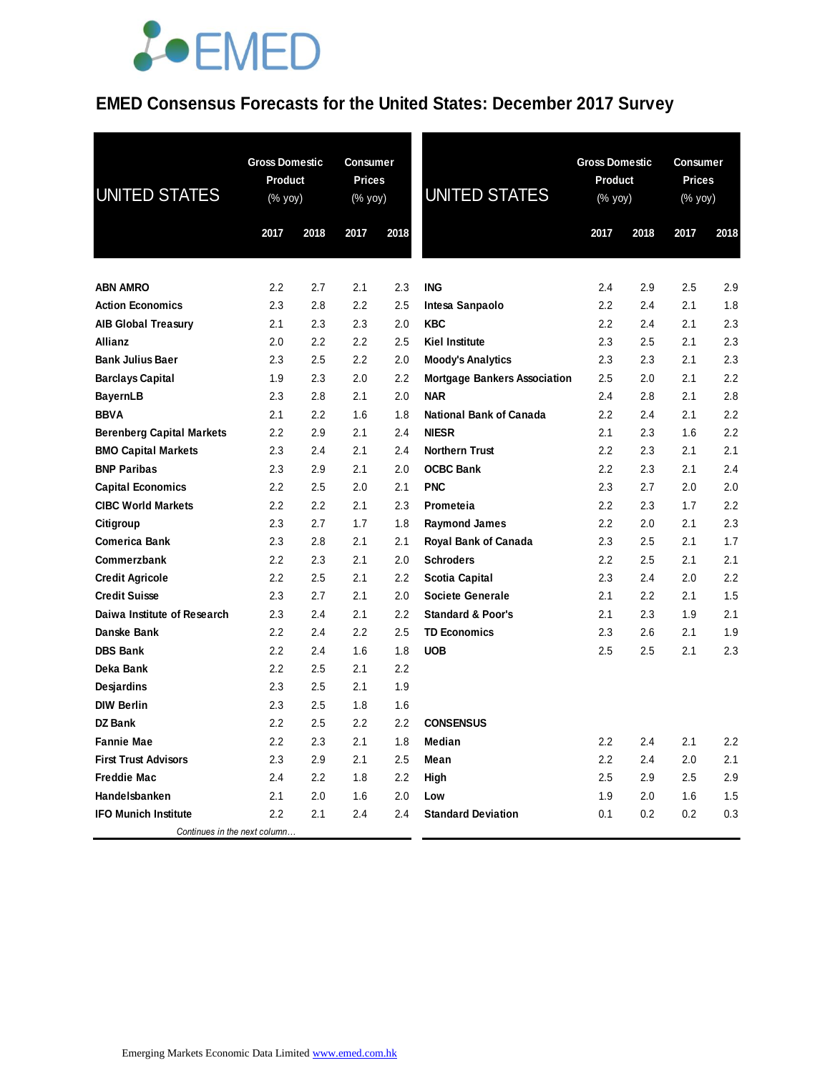#### **EMED Consensus Forecasts for the United States: December 2017 Survey**

| <b>UNITED STATES</b>                       | <b>Gross Domestic</b><br>Product<br>$(% \mathsf{Y}^{\prime }\mathsf{Y}^{\prime }\mathsf{Y}^{\prime })$<br>2017 | 2018       | <b>Consumer</b><br><b>Prices</b><br><b>UNITED STATES</b><br>(% yoy)<br>2018<br>2017 |            | <b>Gross Domestic</b><br><b>Product</b><br>(% yoy)<br>2017<br>2018 |            | Consumer<br><b>Prices</b><br>(% yoy)<br>2018<br>2017 |            |            |
|--------------------------------------------|----------------------------------------------------------------------------------------------------------------|------------|-------------------------------------------------------------------------------------|------------|--------------------------------------------------------------------|------------|------------------------------------------------------|------------|------------|
|                                            |                                                                                                                |            |                                                                                     |            |                                                                    |            |                                                      |            |            |
|                                            |                                                                                                                |            |                                                                                     |            |                                                                    |            |                                                      |            |            |
| <b>ABN AMRO</b><br><b>Action Economics</b> | 2.2<br>2.3                                                                                                     | 2.7<br>2.8 | 2.1<br>2.2                                                                          | 2.3<br>2.5 | <b>ING</b><br>Intesa Sanpaolo                                      | 2.4<br>2.2 | 2.9<br>2.4                                           | 2.5<br>2.1 | 2.9<br>1.8 |
| <b>AIB Global Treasury</b>                 | 2.1                                                                                                            | 2.3        | 2.3                                                                                 | 2.0        | <b>KBC</b>                                                         | 2.2        | 2.4                                                  | 2.1        | 2.3        |
| Allianz                                    | 2.0                                                                                                            | 2.2        | 2.2                                                                                 | 2.5        | <b>Kiel Institute</b>                                              | 2.3        | 2.5                                                  | 2.1        | 2.3        |
| <b>Bank Julius Baer</b>                    | 2.3                                                                                                            | 2.5        | 2.2                                                                                 | 2.0        | <b>Moody's Analytics</b>                                           | 2.3        | 2.3                                                  | 2.1        | 2.3        |
| <b>Barclays Capital</b>                    | 1.9                                                                                                            | 2.3        | 2.0                                                                                 | 2.2        | <b>Mortgage Bankers Association</b>                                | 2.5        | 2.0                                                  | 2.1        | 2.2        |
| <b>BayernLB</b>                            | 2.3                                                                                                            | 2.8        | 2.1                                                                                 | 2.0        | <b>NAR</b>                                                         | 2.4        | 2.8                                                  | 2.1        | 2.8        |
| <b>BBVA</b>                                | 2.1                                                                                                            | 2.2        | 1.6                                                                                 | 1.8        | <b>National Bank of Canada</b>                                     | 2.2        | 2.4                                                  | 2.1        | 2.2        |
| <b>Berenberg Capital Markets</b>           | 2.2                                                                                                            | 2.9        | 2.1                                                                                 | 2.4        | <b>NIESR</b>                                                       | 2.1        | 2.3                                                  | 1.6        | 2.2        |
| <b>BMO Capital Markets</b>                 | 2.3                                                                                                            | 2.4        | 2.1                                                                                 | 2.4        | <b>Northern Trust</b>                                              | 2.2        | 2.3                                                  | 2.1        | 2.1        |
| <b>BNP Paribas</b>                         | 2.3                                                                                                            | 2.9        | 2.1                                                                                 | 2.0        | <b>OCBC Bank</b>                                                   | 2.2        | 2.3                                                  | 2.1        | 2.4        |
| <b>Capital Economics</b>                   | 2.2                                                                                                            | 2.5        | 2.0                                                                                 | 2.1        | <b>PNC</b>                                                         | 2.3        | 2.7                                                  | 2.0        | 2.0        |
| <b>CIBC World Markets</b>                  | 2.2                                                                                                            | 2.2        | 2.1                                                                                 | 2.3        | Prometeia                                                          | 2.2        | 2.3                                                  | 1.7        | 2.2        |
| Citigroup                                  | 2.3                                                                                                            | 2.7        | 1.7                                                                                 | 1.8        | <b>Raymond James</b>                                               | 2.2        | 2.0                                                  | 2.1        | 2.3        |
| <b>Comerica Bank</b>                       | 2.3                                                                                                            | 2.8        | 2.1                                                                                 | 2.1        | <b>Royal Bank of Canada</b>                                        | 2.3        | 2.5                                                  | 2.1        | 1.7        |
| Commerzbank                                | 2.2                                                                                                            | 2.3        | 2.1                                                                                 | 2.0        | <b>Schroders</b>                                                   | 2.2        | 2.5                                                  | 2.1        | 2.1        |
| <b>Credit Agricole</b>                     | 2.2                                                                                                            | 2.5        | 2.1                                                                                 | 2.2        | Scotia Capital                                                     | 2.3        | 2.4                                                  | 2.0        | 2.2        |
| <b>Credit Suisse</b>                       | 2.3                                                                                                            | 2.7        | 2.1                                                                                 | 2.0        | Societe Generale                                                   | 2.1        | 2.2                                                  | 2.1        | 1.5        |
| Daiwa Institute of Research                | 2.3                                                                                                            | 2.4        | 2.1                                                                                 | 2.2        | <b>Standard &amp; Poor's</b>                                       | 2.1        | 2.3                                                  | 1.9        | 2.1        |
| Danske Bank                                | 2.2                                                                                                            | 2.4        | 2.2                                                                                 | 2.5        | <b>TD Economics</b>                                                | 2.3        | 2.6                                                  | 2.1        | 1.9        |
| <b>DBS Bank</b>                            | 2.2                                                                                                            | 2.4        | 1.6                                                                                 | 1.8        | <b>UOB</b>                                                         | 2.5        | 2.5                                                  | 2.1        | 2.3        |
| Deka Bank                                  | 2.2                                                                                                            | 2.5        | 2.1                                                                                 | 2.2        |                                                                    |            |                                                      |            |            |
| <b>Desjardins</b>                          | 2.3                                                                                                            | 2.5        | 2.1                                                                                 | 1.9        |                                                                    |            |                                                      |            |            |
| <b>DIW Berlin</b>                          | 2.3                                                                                                            | 2.5        | 1.8                                                                                 | 1.6        |                                                                    |            |                                                      |            |            |
| <b>DZ Bank</b>                             | 2.2                                                                                                            | 2.5        | 2.2                                                                                 | 2.2        | <b>CONSENSUS</b>                                                   |            |                                                      |            |            |
| <b>Fannie Mae</b>                          | 2.2                                                                                                            | 2.3        | 2.1                                                                                 | 1.8        | <b>Median</b>                                                      | 2.2        | 2.4                                                  | 2.1        | 2.2        |
| <b>First Trust Advisors</b>                | 2.3                                                                                                            | 2.9        | 2.1                                                                                 | 2.5        | Mean                                                               | 2.2        | 2.4                                                  | 2.0        | 2.1        |
| <b>Freddie Mac</b>                         | 2.4                                                                                                            | 2.2        | 1.8                                                                                 | 2.2        | High                                                               | 2.5        | 2.9                                                  | 2.5        | 2.9        |
| Handelsbanken                              | 2.1                                                                                                            | 2.0        | 1.6                                                                                 | 2.0        | Low                                                                | 1.9        | 2.0                                                  | 1.6        | 1.5        |
| <b>IFO Munich Institute</b>                | 2.2                                                                                                            | 2.1        | 2.4                                                                                 | 2.4        | <b>Standard Deviation</b>                                          | 0.1        | 0.2                                                  | 0.2        | 0.3        |
| Continues in the next column               |                                                                                                                |            |                                                                                     |            |                                                                    |            |                                                      |            |            |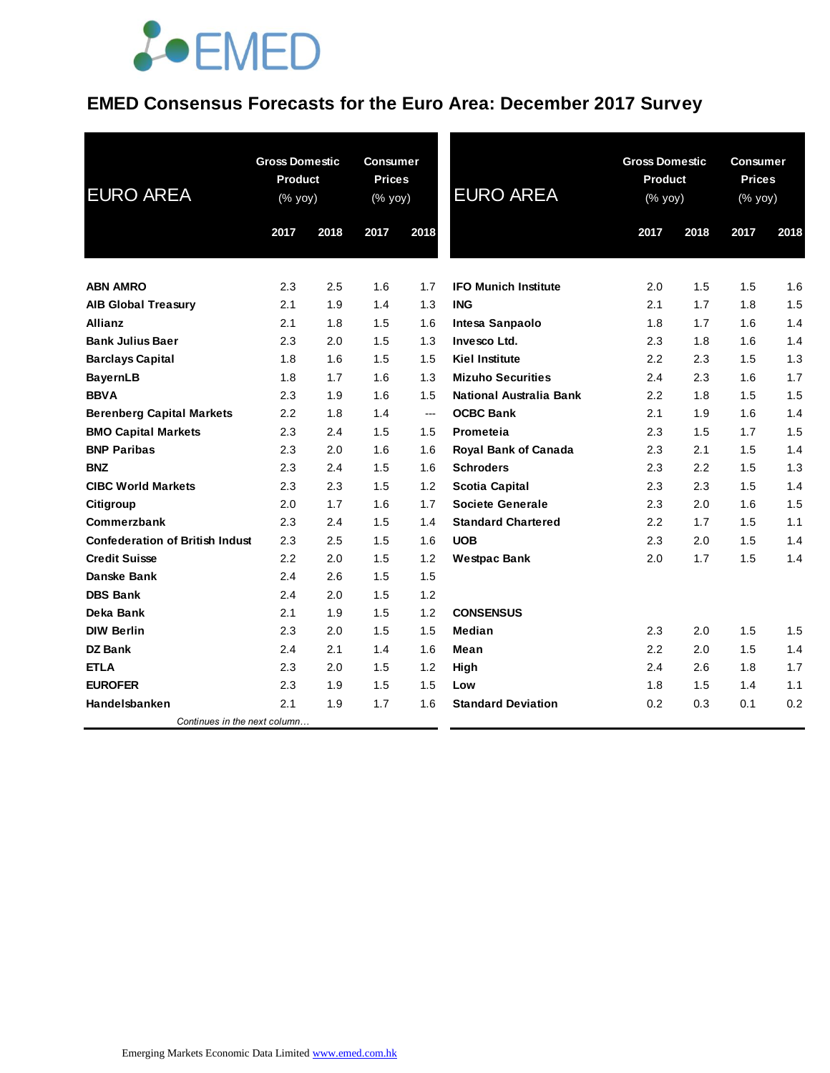#### **EMED Consensus Forecasts for the Euro Area: December 2017 Survey**

| <b>EURO AREA</b>                       | <b>Gross Domestic</b><br><b>Product</b><br>$(% \mathsf{y}\right)$ (% yoy) |      | <b>Consumer</b><br><b>Prices</b><br>(% yoy) |      | <b>EURO AREA</b>            | <b>Gross Domestic</b><br><b>Product</b><br>(% yoy) |      | <b>Consumer</b><br><b>Prices</b><br>(% yoy) | 2018<br>1.6<br>1.5<br>1.4<br>1.4<br>1.3 |  |
|----------------------------------------|---------------------------------------------------------------------------|------|---------------------------------------------|------|-----------------------------|----------------------------------------------------|------|---------------------------------------------|-----------------------------------------|--|
|                                        | 2017                                                                      | 2018 | 2017                                        | 2018 |                             | 2017                                               | 2018 | 2017                                        |                                         |  |
|                                        |                                                                           |      |                                             |      |                             |                                                    |      |                                             |                                         |  |
| <b>ABN AMRO</b>                        | 2.3                                                                       | 2.5  | 1.6                                         | 1.7  | <b>IFO Munich Institute</b> | 2.0                                                | 1.5  | 1.5                                         |                                         |  |
| <b>AIB Global Treasury</b>             | 2.1                                                                       | 1.9  | 1.4                                         | 1.3  | <b>ING</b>                  | 2.1                                                | 1.7  | 1.8                                         |                                         |  |
| <b>Allianz</b>                         | 2.1                                                                       | 1.8  | 1.5                                         | 1.6  | Intesa Sanpaolo             | 1.8                                                | 1.7  | 1.6                                         |                                         |  |
| <b>Bank Julius Baer</b>                | 2.3                                                                       | 2.0  | 1.5                                         | 1.3  | Invesco Ltd.                | 2.3                                                | 1.8  | 1.6                                         |                                         |  |
| <b>Barclays Capital</b>                | 1.8                                                                       | 1.6  | 1.5                                         | 1.5  | <b>Kiel Institute</b>       | 2.2                                                | 2.3  | 1.5                                         |                                         |  |
| <b>BayernLB</b>                        | 1.8                                                                       | 1.7  | 1.6                                         | 1.3  | <b>Mizuho Securities</b>    | 2.4                                                | 2.3  | 1.6                                         | 1.7                                     |  |
| <b>BBVA</b>                            | 2.3                                                                       | 1.9  | 1.6                                         | 1.5  | National Australia Bank     | 2.2                                                | 1.8  | 1.5                                         | 1.5                                     |  |
| <b>Berenberg Capital Markets</b>       | 2.2                                                                       | 1.8  | 1.4                                         | ---  | <b>OCBC Bank</b>            | 2.1                                                | 1.9  | 1.6                                         | 1.4                                     |  |
| <b>BMO Capital Markets</b>             | 2.3                                                                       | 2.4  | 1.5                                         | 1.5  | Prometeia                   | 2.3                                                | 1.5  | 1.7                                         | 1.5                                     |  |
| <b>BNP Paribas</b>                     | 2.3                                                                       | 2.0  | 1.6                                         | 1.6  | Royal Bank of Canada        | 2.3                                                | 2.1  | 1.5                                         | 1.4                                     |  |
| <b>BNZ</b>                             | 2.3                                                                       | 2.4  | 1.5                                         | 1.6  | <b>Schroders</b>            | 2.3                                                | 2.2  | 1.5                                         | 1.3                                     |  |
| <b>CIBC World Markets</b>              | 2.3                                                                       | 2.3  | 1.5                                         | 1.2  | <b>Scotia Capital</b>       | 2.3                                                | 2.3  | 1.5                                         | 1.4                                     |  |
| Citigroup                              | 2.0                                                                       | 1.7  | 1.6                                         | 1.7  | <b>Societe Generale</b>     | 2.3                                                | 2.0  | 1.6                                         | 1.5                                     |  |
| Commerzbank                            | 2.3                                                                       | 2.4  | 1.5                                         | 1.4  | <b>Standard Chartered</b>   | 2.2                                                | 1.7  | 1.5                                         | 1.1                                     |  |
| <b>Confederation of British Indust</b> | 2.3                                                                       | 2.5  | 1.5                                         | 1.6  | <b>UOB</b>                  | 2.3                                                | 2.0  | 1.5                                         | 1.4                                     |  |
| <b>Credit Suisse</b>                   | 2.2                                                                       | 2.0  | 1.5                                         | 1.2  | <b>Westpac Bank</b>         | 2.0                                                | 1.7  | 1.5                                         | 1.4                                     |  |
| Danske Bank                            | 2.4                                                                       | 2.6  | 1.5                                         | 1.5  |                             |                                                    |      |                                             |                                         |  |
| <b>DBS Bank</b>                        | 2.4                                                                       | 2.0  | 1.5                                         | 1.2  |                             |                                                    |      |                                             |                                         |  |
| Deka Bank                              | 2.1                                                                       | 1.9  | 1.5                                         | 1.2  | <b>CONSENSUS</b>            |                                                    |      |                                             |                                         |  |
| <b>DIW Berlin</b>                      | 2.3                                                                       | 2.0  | 1.5                                         | 1.5  | Median                      | 2.3                                                | 2.0  | 1.5                                         | 1.5                                     |  |
| DZ Bank                                | 2.4                                                                       | 2.1  | 1.4                                         | 1.6  | Mean                        | 2.2                                                | 2.0  | 1.5                                         | 1.4                                     |  |
| <b>ETLA</b>                            | 2.3                                                                       | 2.0  | 1.5                                         | 1.2  | High                        | 2.4                                                | 2.6  | 1.8                                         | 1.7                                     |  |
| <b>EUROFER</b>                         | 2.3                                                                       | 1.9  | 1.5                                         | 1.5  | Low                         | 1.8                                                | 1.5  | 1.4                                         | 1.1                                     |  |
| Handelsbanken                          | 2.1                                                                       | 1.9  | 1.7                                         | 1.6  | <b>Standard Deviation</b>   | 0.2                                                | 0.3  | 0.1                                         | 0.2                                     |  |
| Continues in the next column           |                                                                           |      |                                             |      |                             |                                                    |      |                                             |                                         |  |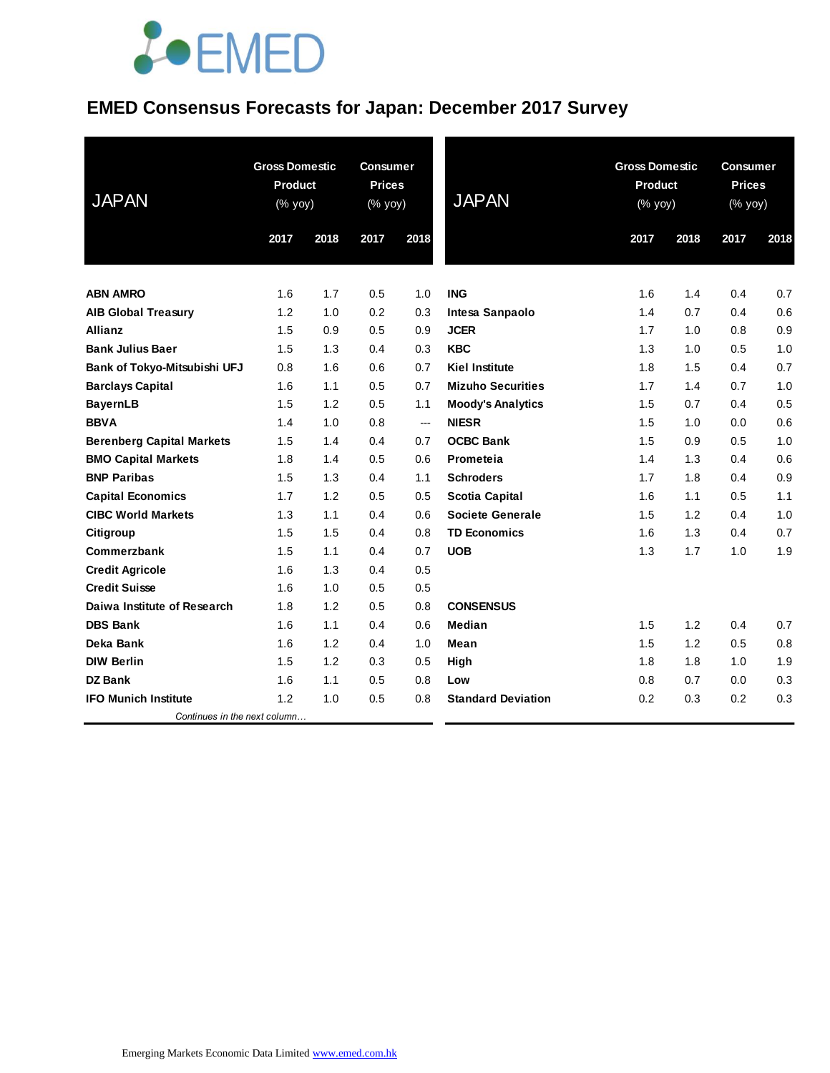### **EMED Consensus Forecasts for Japan: December 2017 Survey**

| <b>JAPAN</b>                     | <b>Product</b> | <b>Gross Domestic</b><br><b>Gross Domestic</b><br><b>Consumer</b><br><b>Prices</b><br><b>Product</b><br><b>JAPAN</b><br>(% yoy)<br>(% yoy)<br>(% yoy) |      |                          | <b>Consumer</b><br><b>Prices</b><br>(% yoy) |      |      |      |      |
|----------------------------------|----------------|-------------------------------------------------------------------------------------------------------------------------------------------------------|------|--------------------------|---------------------------------------------|------|------|------|------|
|                                  | 2017           | 2018                                                                                                                                                  | 2017 | 2018                     |                                             | 2017 | 2018 | 2017 | 2018 |
| <b>ABN AMRO</b>                  | 1.6            | 1.7                                                                                                                                                   | 0.5  | 1.0                      | <b>ING</b>                                  | 1.6  | 1.4  | 0.4  | 0.7  |
| <b>AIB Global Treasury</b>       | 1.2            | 1.0                                                                                                                                                   | 0.2  | 0.3                      | Intesa Sanpaolo                             | 1.4  | 0.7  | 0.4  | 0.6  |
| <b>Allianz</b>                   | 1.5            | 0.9                                                                                                                                                   | 0.5  | 0.9                      | <b>JCER</b>                                 | 1.7  | 1.0  | 0.8  | 0.9  |
| <b>Bank Julius Baer</b>          | 1.5            | 1.3                                                                                                                                                   | 0.4  | 0.3                      | <b>KBC</b>                                  | 1.3  | 1.0  | 0.5  | 1.0  |
| Bank of Tokyo-Mitsubishi UFJ     | 0.8            | 1.6                                                                                                                                                   | 0.6  | 0.7                      | <b>Kiel Institute</b>                       | 1.8  | 1.5  | 0.4  | 0.7  |
| <b>Barclays Capital</b>          | 1.6            | 1.1                                                                                                                                                   | 0.5  | 0.7                      | <b>Mizuho Securities</b>                    | 1.7  | 1.4  | 0.7  | 1.0  |
| <b>BayernLB</b>                  | 1.5            | 1.2                                                                                                                                                   | 0.5  | 1.1                      | <b>Moody's Analytics</b>                    | 1.5  | 0.7  | 0.4  | 0.5  |
| <b>BBVA</b>                      | 1.4            | 1.0                                                                                                                                                   | 0.8  | $\overline{\phantom{a}}$ | <b>NIESR</b>                                | 1.5  | 1.0  | 0.0  | 0.6  |
| <b>Berenberg Capital Markets</b> | 1.5            | 1.4                                                                                                                                                   | 0.4  | 0.7                      | <b>OCBC Bank</b>                            | 1.5  | 0.9  | 0.5  | 1.0  |
| <b>BMO Capital Markets</b>       | 1.8            | 1.4                                                                                                                                                   | 0.5  | 0.6                      | Prometeia                                   | 1.4  | 1.3  | 0.4  | 0.6  |
| <b>BNP Paribas</b>               | 1.5            | 1.3                                                                                                                                                   | 0.4  | 1.1                      | <b>Schroders</b>                            | 1.7  | 1.8  | 0.4  | 0.9  |
| <b>Capital Economics</b>         | 1.7            | 1.2                                                                                                                                                   | 0.5  | 0.5                      | <b>Scotia Capital</b>                       | 1.6  | 1.1  | 0.5  | 1.1  |
| <b>CIBC World Markets</b>        | 1.3            | 1.1                                                                                                                                                   | 0.4  | 0.6                      | <b>Societe Generale</b>                     | 1.5  | 1.2  | 0.4  | 1.0  |
| Citigroup                        | 1.5            | 1.5                                                                                                                                                   | 0.4  | 0.8                      | <b>TD Economics</b>                         | 1.6  | 1.3  | 0.4  | 0.7  |
| Commerzbank                      | 1.5            | 1.1                                                                                                                                                   | 0.4  | 0.7                      | <b>UOB</b>                                  | 1.3  | 1.7  | 1.0  | 1.9  |
| <b>Credit Agricole</b>           | 1.6            | 1.3                                                                                                                                                   | 0.4  | 0.5                      |                                             |      |      |      |      |
| <b>Credit Suisse</b>             | 1.6            | 1.0                                                                                                                                                   | 0.5  | 0.5                      |                                             |      |      |      |      |
| Daiwa Institute of Research      | 1.8            | 1.2                                                                                                                                                   | 0.5  | 0.8                      | <b>CONSENSUS</b>                            |      |      |      |      |
| <b>DBS Bank</b>                  | 1.6            | 1.1                                                                                                                                                   | 0.4  | 0.6                      | <b>Median</b>                               | 1.5  | 1.2  | 0.4  | 0.7  |
| Deka Bank                        | 1.6            | 1.2                                                                                                                                                   | 0.4  | 1.0                      | Mean                                        | 1.5  | 1.2  | 0.5  | 0.8  |
| <b>DIW Berlin</b>                | 1.5            | 1.2                                                                                                                                                   | 0.3  | 0.5                      | High                                        | 1.8  | 1.8  | 1.0  | 1.9  |
| <b>DZ Bank</b>                   | 1.6            | 1.1                                                                                                                                                   | 0.5  | 0.8                      | Low                                         | 0.8  | 0.7  | 0.0  | 0.3  |
| <b>IFO Munich Institute</b>      | 1.2            | 1.0                                                                                                                                                   | 0.5  | 0.8                      | <b>Standard Deviation</b>                   | 0.2  | 0.3  | 0.2  | 0.3  |
| Continues in the next column     |                |                                                                                                                                                       |      |                          |                                             |      |      |      |      |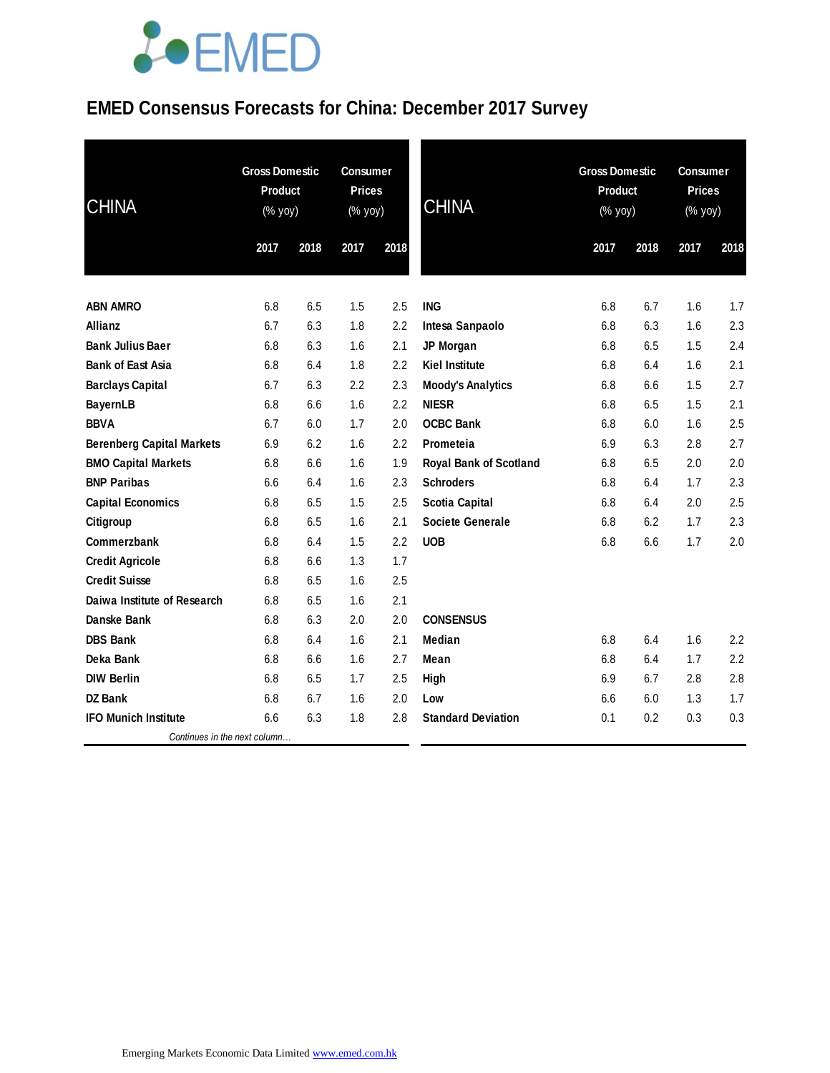### **EMED Consensus Forecasts for China: December 2017 Survey**

| <b>CHINA</b>                     | <b>Gross Domestic</b><br>Product<br>(% yoy) |      | <b>Consumer</b><br><b>Prices</b><br>(% yoy) |      | <b>CHINA</b>                  | <b>Gross Domestic</b><br>Product<br>(% yoy) |      | <b>Consumer</b><br><b>Prices</b><br>(% yoy) |      |
|----------------------------------|---------------------------------------------|------|---------------------------------------------|------|-------------------------------|---------------------------------------------|------|---------------------------------------------|------|
|                                  | 2017                                        | 2018 | 2017                                        | 2018 |                               | 2017                                        | 2018 | 2017                                        | 2018 |
| <b>ABN AMRO</b>                  | 6.8                                         | 6.5  | 1.5                                         | 2.5  | <b>ING</b>                    | 6.8                                         | 6.7  | 1.6                                         | 1.7  |
| Allianz                          | 6.7                                         | 6.3  | 1.8                                         | 2.2  | Intesa Sanpaolo               | 6.8                                         | 6.3  | 1.6                                         | 2.3  |
| <b>Bank Julius Baer</b>          | 6.8                                         | 6.3  | 1.6                                         | 2.1  | JP Morgan                     | 6.8                                         | 6.5  | 1.5                                         | 2.4  |
| <b>Bank of East Asia</b>         | 6.8                                         | 6.4  | 1.8                                         | 2.2  | <b>Kiel Institute</b>         | 6.8                                         | 6.4  | 1.6                                         | 2.1  |
| <b>Barclays Capital</b>          | 6.7                                         | 6.3  | 2.2                                         | 2.3  | <b>Moody's Analytics</b>      | 6.8                                         | 6.6  | 1.5                                         | 2.7  |
| <b>BayernLB</b>                  | 6.8                                         | 6.6  | 1.6                                         | 2.2  | <b>NIESR</b>                  | 6.8                                         | 6.5  | 1.5                                         | 2.1  |
| <b>BBVA</b>                      | 6.7                                         | 6.0  | 1.7                                         | 2.0  | <b>OCBC Bank</b>              | 6.8                                         | 6.0  | 1.6                                         | 2.5  |
| <b>Berenberg Capital Markets</b> | 6.9                                         | 6.2  | 1.6                                         | 2.2  | Prometeia                     | 6.9                                         | 6.3  | 2.8                                         | 2.7  |
| <b>BMO Capital Markets</b>       | 6.8                                         | 6.6  | 1.6                                         | 1.9  | <b>Royal Bank of Scotland</b> | 6.8                                         | 6.5  | 2.0                                         | 2.0  |
| <b>BNP Paribas</b>               | 6.6                                         | 6.4  | 1.6                                         | 2.3  | <b>Schroders</b>              | 6.8                                         | 6.4  | 1.7                                         | 2.3  |
| <b>Capital Economics</b>         | 6.8                                         | 6.5  | 1.5                                         | 2.5  | <b>Scotia Capital</b>         | 6.8                                         | 6.4  | 2.0                                         | 2.5  |
| Citigroup                        | 6.8                                         | 6.5  | 1.6                                         | 2.1  | <b>Societe Generale</b>       | 6.8                                         | 6.2  | 1.7                                         | 2.3  |
| Commerzbank                      | 6.8                                         | 6.4  | 1.5                                         | 2.2  | <b>UOB</b>                    | 6.8                                         | 6.6  | 1.7                                         | 2.0  |
| <b>Credit Agricole</b>           | 6.8                                         | 6.6  | 1.3                                         | 1.7  |                               |                                             |      |                                             |      |
| <b>Credit Suisse</b>             | 6.8                                         | 6.5  | 1.6                                         | 2.5  |                               |                                             |      |                                             |      |
| Daiwa Institute of Research      | 6.8                                         | 6.5  | 1.6                                         | 2.1  |                               |                                             |      |                                             |      |
| Danske Bank                      | 6.8                                         | 6.3  | 2.0                                         | 2.0  | <b>CONSENSUS</b>              |                                             |      |                                             |      |
| <b>DBS Bank</b>                  | 6.8                                         | 6.4  | 1.6                                         | 2.1  | Median                        | 6.8                                         | 6.4  | 1.6                                         | 2.2  |
| Deka Bank                        | 6.8                                         | 6.6  | 1.6                                         | 2.7  | Mean                          | 6.8                                         | 6.4  | 1.7                                         | 2.2  |
| <b>DIW Berlin</b>                | 6.8                                         | 6.5  | 1.7                                         | 2.5  | High                          | 6.9                                         | 6.7  | 2.8                                         | 2.8  |
| DZ Bank                          | 6.8                                         | 6.7  | 1.6                                         | 2.0  | Low                           | 6.6                                         | 6.0  | 1.3                                         | 1.7  |
| <b>IFO Munich Institute</b>      | 6.6                                         | 6.3  | 1.8                                         | 2.8  | <b>Standard Deviation</b>     | 0.1                                         | 0.2  | 0.3                                         | 0.3  |
| Continues in the next column     |                                             |      |                                             |      |                               |                                             |      |                                             |      |